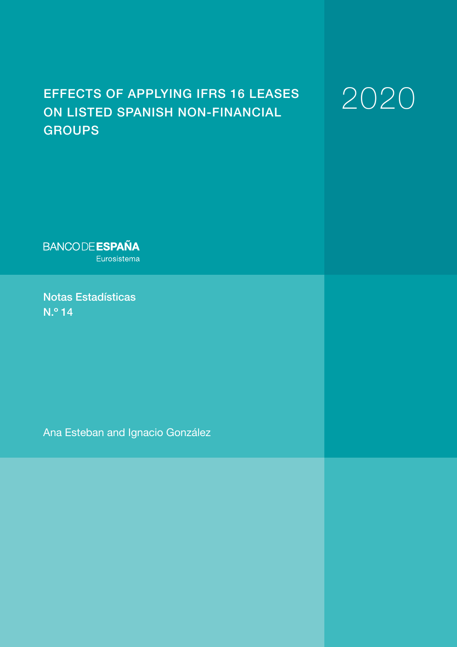# EFFECTS OF APPLYING IFRS 16 LEASES ON LISTED SPANISH NON-FINANCIAL **GROUPS**

# 2020

**BANCODE ESPAÑA** Eurosistema

Notas Estadísticas N.º 14

Ana Esteban and Ignacio González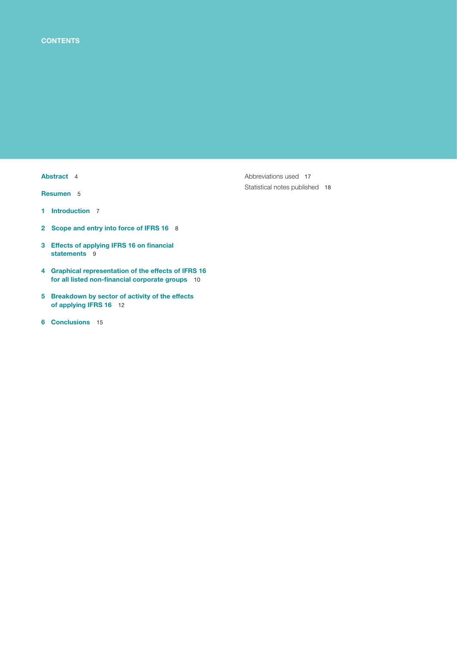## [Abstract](#page-3-0) 4

[Resumen](#page-4-0) 5

- 1 [Introduction](#page-6-0) 7
- 2 [Scope and entry into force of IFRS 16](#page-7-0) 8
- 3 Effects of applying IFRS 16 on financial [statements](#page-8-0) 9
- 4 [Graphical representation of the effects of IFRS 16](#page-9-0)  for all listed non-financial corporate groups 10
- 5 [Breakdown by sector of activity of the effects](#page-11-0) of applying IFRS 16 12
- 6 [Conclusions](#page-14-0) 15

[Abbreviations used](#page-16-0) 17 [Statistical notes published](#page-17-0) 18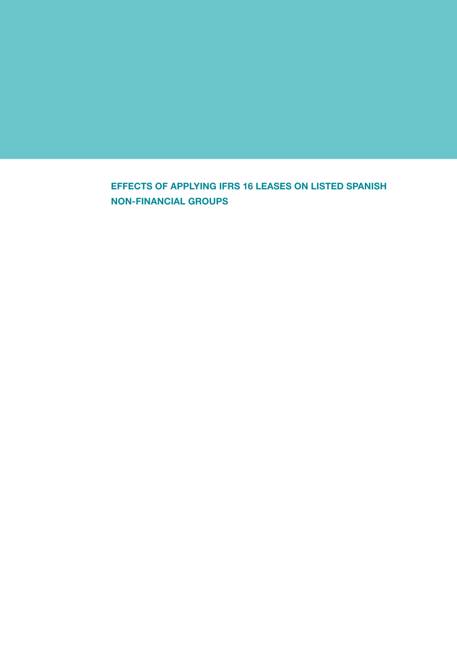EFFECTS OF APPLYING IFRS 16 LEASES ON LISTED SPANISH NON-FINANCIAL GROUPS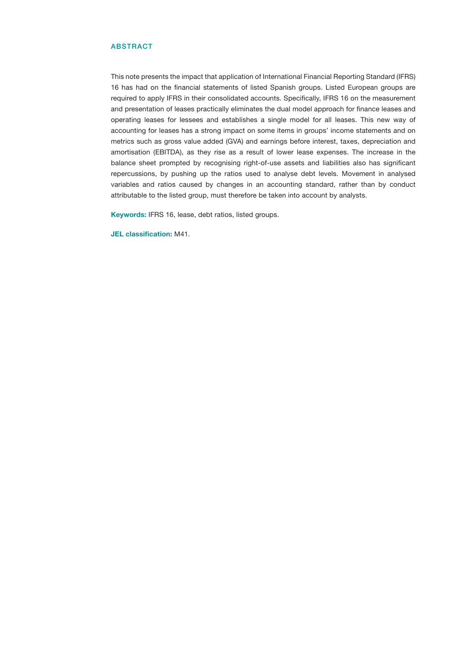### <span id="page-3-0"></span>ABSTRACT

This note presents the impact that application of International Financial Reporting Standard (IFRS) 16 has had on the financial statements of listed Spanish groups. Listed European groups are required to apply IFRS in their consolidated accounts. Specifically, IFRS 16 on the measurement and presentation of leases practically eliminates the dual model approach for finance leases and operating leases for lessees and establishes a single model for all leases. This new way of accounting for leases has a strong impact on some items in groups' income statements and on metrics such as gross value added (GVA) and earnings before interest, taxes, depreciation and amortisation (EBITDA), as they rise as a result of lower lease expenses. The increase in the balance sheet prompted by recognising right-of-use assets and liabilities also has significant repercussions, by pushing up the ratios used to analyse debt levels. Movement in analysed variables and ratios caused by changes in an accounting standard, rather than by conduct attributable to the listed group, must therefore be taken into account by analysts.

Keywords: IFRS 16, lease, debt ratios, listed groups.

JEL classification: M41.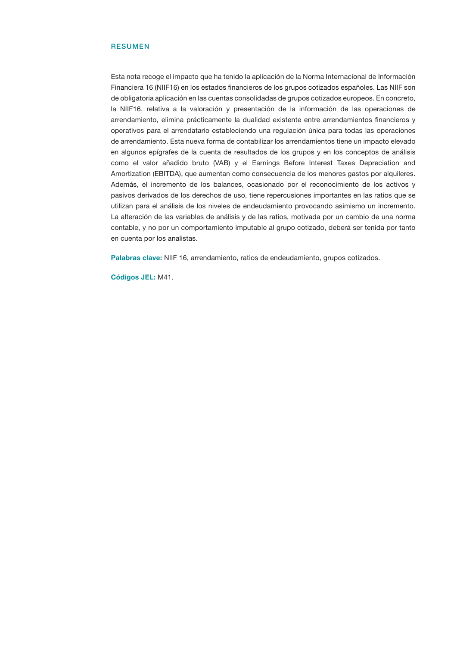### <span id="page-4-0"></span>**RESUMEN**

Esta nota recoge el impacto que ha tenido la aplicación de la Norma Internacional de Información Financiera 16 (NIIF16) en los estados financieros de los grupos cotizados españoles. Las NIIF son de obligatoria aplicación en las cuentas consolidadas de grupos cotizados europeos. En concreto, la NIIF16, relativa a la valoración y presentación de la información de las operaciones de arrendamiento, elimina prácticamente la dualidad existente entre arrendamientos financieros y operativos para el arrendatario estableciendo una regulación única para todas las operaciones de arrendamiento. Esta nueva forma de contabilizar los arrendamientos tiene un impacto elevado en algunos epígrafes de la cuenta de resultados de los grupos y en los conceptos de análisis como el valor añadido bruto (VAB) y el Earnings Before Interest Taxes Depreciation and Amortization (EBITDA), que aumentan como consecuencia de los menores gastos por alquileres. Además, el incremento de los balances, ocasionado por el reconocimiento de los activos y pasivos derivados de los derechos de uso, tiene repercusiones importantes en las ratios que se utilizan para el análisis de los niveles de endeudamiento provocando asimismo un incremento. La alteración de las variables de análisis y de las ratios, motivada por un cambio de una norma contable, y no por un comportamiento imputable al grupo cotizado, deberá ser tenida por tanto en cuenta por los analistas.

Palabras clave: NIIF 16, arrendamiento, ratios de endeudamiento, grupos cotizados.

Códigos JEL: M41.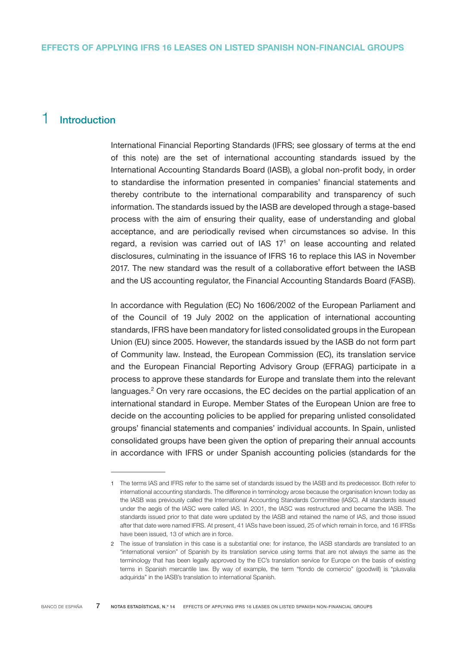# <span id="page-6-0"></span>1 Introduction

International Financial Reporting Standards (IFRS; see glossary of terms at the end of this note) are the set of international accounting standards issued by the International Accounting Standards Board (IASB), a global non-profit body, in order to standardise the information presented in companies' financial statements and thereby contribute to the international comparability and transparency of such information. The standards issued by the IASB are developed through a stage-based process with the aim of ensuring their quality, ease of understanding and global acceptance, and are periodically revised when circumstances so advise. In this regard, a revision was carried out of IAS  $17<sup>1</sup>$  on lease accounting and related disclosures, culminating in the issuance of IFRS 16 to replace this IAS in November 2017. The new standard was the result of a collaborative effort between the IASB and the US accounting regulator, the Financial Accounting Standards Board (FASB).

In accordance with Regulation (EC) No 1606/2002 of the European Parliament and of the Council of 19 July 2002 on the application of international accounting standards, IFRS have been mandatory for listed consolidated groups in the European Union (EU) since 2005. However, the standards issued by the IASB do not form part of Community law. Instead, the European Commission (EC), its translation service and the European Financial Reporting Advisory Group (EFRAG) participate in a process to approve these standards for Europe and translate them into the relevant languages.<sup>2</sup> On very rare occasions, the EC decides on the partial application of an international standard in Europe. Member States of the European Union are free to decide on the accounting policies to be applied for preparing unlisted consolidated groups' financial statements and companies' individual accounts. In Spain, unlisted consolidated groups have been given the option of preparing their annual accounts in accordance with IFRS or under Spanish accounting policies (standards for the

<sup>1</sup> The terms IAS and IFRS refer to the same set of standards issued by the IASB and its predecessor. Both refer to international accounting standards. The difference in terminology arose because the organisation known today as the IASB was previously called the International Accounting Standards Committee (IASC). All standards issued under the aegis of the IASC were called IAS. In 2001, the IASC was restructured and became the IASB. The standards issued prior to that date were updated by the IASB and retained the name of IAS, and those issued after that date were named IFRS. At present, 41 IASs have been issued, 25 of which remain in force, and 16 IFRSs have been issued, 13 of which are in force.

<sup>2</sup> The issue of translation in this case is a substantial one: for instance, the IASB standards are translated to an "international version" of Spanish by its translation service using terms that are not always the same as the terminology that has been legally approved by the EC's translation service for Europe on the basis of existing terms in Spanish mercantile law. By way of example, the term "fondo de comercio" (goodwill) is "plusvalía adquirida" in the IASB's translation to international Spanish.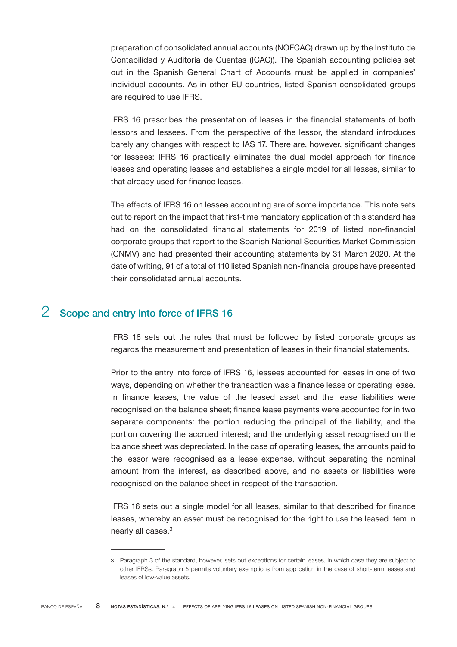<span id="page-7-0"></span>preparation of consolidated annual accounts (NOFCAC) drawn up by the Instituto de Contabilidad y Auditoría de Cuentas (ICAC)). The Spanish accounting policies set out in the Spanish General Chart of Accounts must be applied in companies' individual accounts. As in other EU countries, listed Spanish consolidated groups are required to use IFRS.

IFRS 16 prescribes the presentation of leases in the financial statements of both lessors and lessees. From the perspective of the lessor, the standard introduces barely any changes with respect to IAS 17. There are, however, significant changes for lessees: IFRS 16 practically eliminates the dual model approach for finance leases and operating leases and establishes a single model for all leases, similar to that already used for finance leases.

The effects of IFRS 16 on lessee accounting are of some importance. This note sets out to report on the impact that first-time mandatory application of this standard has had on the consolidated financial statements for 2019 of listed non-financial corporate groups that report to the Spanish National Securities Market Commission (CNMV) and had presented their accounting statements by 31 March 2020. At the date of writing, 91 of a total of 110 listed Spanish non-financial groups have presented their consolidated annual accounts.

# 2 Scope and entry into force of IFRS 16

IFRS 16 sets out the rules that must be followed by listed corporate groups as regards the measurement and presentation of leases in their financial statements.

Prior to the entry into force of IFRS 16, lessees accounted for leases in one of two ways, depending on whether the transaction was a finance lease or operating lease. In finance leases, the value of the leased asset and the lease liabilities were recognised on the balance sheet; finance lease payments were accounted for in two separate components: the portion reducing the principal of the liability, and the portion covering the accrued interest; and the underlying asset recognised on the balance sheet was depreciated. In the case of operating leases, the amounts paid to the lessor were recognised as a lease expense, without separating the nominal amount from the interest, as described above, and no assets or liabilities were recognised on the balance sheet in respect of the transaction.

IFRS 16 sets out a single model for all leases, similar to that described for finance leases, whereby an asset must be recognised for the right to use the leased item in nearly all cases.<sup>3</sup>

<sup>3</sup> Paragraph 3 of the standard, however, sets out exceptions for certain leases, in which case they are subject to other IFRSs. Paragraph 5 permits voluntary exemptions from application in the case of short-term leases and leases of low-value assets.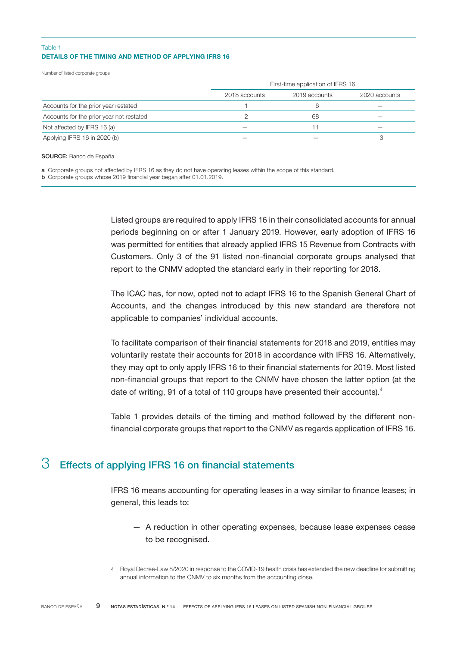## <span id="page-8-0"></span>DETAILS OF THE TIMING AND METHOD OF APPLYING IFRS 16 Table 1

Number of listed corporate groups

|                                          | First-time application of IFRS 16 |               |               |  |
|------------------------------------------|-----------------------------------|---------------|---------------|--|
|                                          | 2018 accounts                     | 2019 accounts | 2020 accounts |  |
| Accounts for the prior year restated     |                                   |               |               |  |
| Accounts for the prior year not restated |                                   | 68            |               |  |
| Not affected by IFRS 16 (a)              |                                   |               |               |  |
| Applying IFRS 16 in 2020 (b)             |                                   |               |               |  |

SOURCE: Banco de España.

a Corporate groups not affected by IFRS 16 as they do not have operating leases within the scope of this standard.

b Corporate groups whose 2019 financial year began after 01.01.2019.

Listed groups are required to apply IFRS 16 in their consolidated accounts for annual periods beginning on or after 1 January 2019. However, early adoption of IFRS 16 was permitted for entities that already applied IFRS 15 Revenue from Contracts with Customers. Only 3 of the 91 listed non-financial corporate groups analysed that report to the CNMV adopted the standard early in their reporting for 2018.

The ICAC has, for now, opted not to adapt IFRS 16 to the Spanish General Chart of Accounts, and the changes introduced by this new standard are therefore not applicable to companies' individual accounts.

To facilitate comparison of their financial statements for 2018 and 2019, entities may voluntarily restate their accounts for 2018 in accordance with IFRS 16. Alternatively, they may opt to only apply IFRS 16 to their financial statements for 2019. Most listed non-financial groups that report to the CNMV have chosen the latter option (at the date of writing, 91 of a total of 110 groups have presented their accounts).<sup>4</sup>

Table 1 provides details of the timing and method followed by the different nonfinancial corporate groups that report to the CNMV as regards application of IFRS 16.

# $3$  Effects of applying IFRS 16 on financial statements

IFRS 16 means accounting for operating leases in a way similar to finance leases; in general, this leads to:

— A reduction in other operating expenses, because lease expenses cease to be recognised.

<sup>4</sup> Royal Decree-Law 8/2020 in response to the COVID-19 health crisis has extended the new deadline for submitting annual information to the CNMV to six months from the accounting close.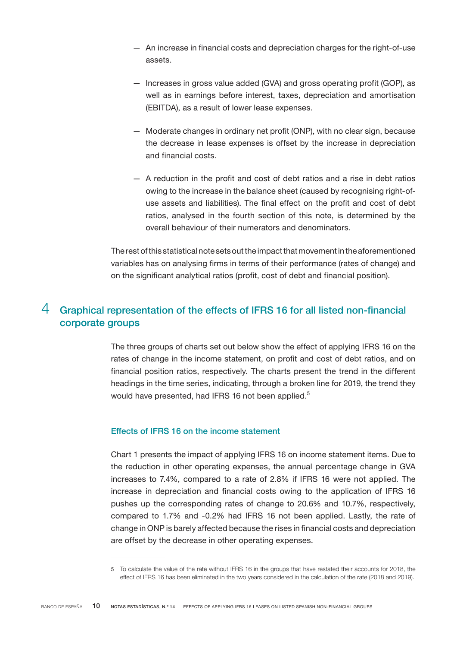- <span id="page-9-0"></span>— An increase in financial costs and depreciation charges for the right-of-use assets.
- Increases in gross value added (GVA) and gross operating profit (GOP), as well as in earnings before interest, taxes, depreciation and amortisation (EBITDA), as a result of lower lease expenses.
- Moderate changes in ordinary net profit (ONP), with no clear sign, because the decrease in lease expenses is offset by the increase in depreciation and financial costs.
- A reduction in the profit and cost of debt ratios and a rise in debt ratios owing to the increase in the balance sheet (caused by recognising right-ofuse assets and liabilities). The final effect on the profit and cost of debt ratios, analysed in the fourth section of this note, is determined by the overall behaviour of their numerators and denominators.

The rest of this statistical note sets out the impact that movement in the aforementioned variables has on analysing firms in terms of their performance (rates of change) and on the significant analytical ratios (profit, cost of debt and financial position).

# 4 Graphical representation of the effects of IFRS 16 for all listed non-financial corporate groups

The three groups of charts set out below show the effect of applying IFRS 16 on the rates of change in the income statement, on profit and cost of debt ratios, and on financial position ratios, respectively. The charts present the trend in the different headings in the time series, indicating, through a broken line for 2019, the trend they would have presented, had IFRS 16 not been applied.<sup>5</sup>

# Effects of IFRS 16 on the income statement

Chart 1 presents the impact of applying IFRS 16 on income statement items. Due to the reduction in other operating expenses, the annual percentage change in GVA increases to 7.4%, compared to a rate of 2.8% if IFRS 16 were not applied. The increase in depreciation and financial costs owing to the application of IFRS 16 pushes up the corresponding rates of change to 20.6% and 10.7%, respectively, compared to 1.7% and -0.2% had IFRS 16 not been applied. Lastly, the rate of change in ONP is barely affected because the rises in financial costs and depreciation are offset by the decrease in other operating expenses.

<sup>5</sup> To calculate the value of the rate without IFRS 16 in the groups that have restated their accounts for 2018, the effect of IFRS 16 has been eliminated in the two years considered in the calculation of the rate (2018 and 2019).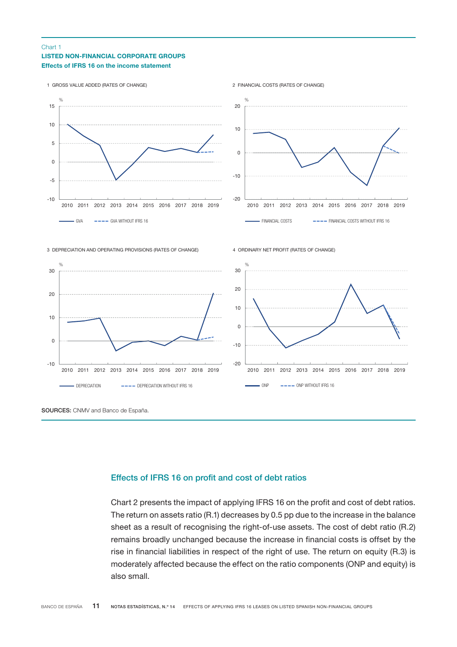### LISTED NON-FINANCIAL CORPORATE GROUPS Effects of IFRS 16 on the income statement Chart 1



# Effects of IFRS 16 on profit and cost of debt ratios

Chart 2 presents the impact of applying IFRS 16 on the profit and cost of debt ratios. The return on assets ratio (R.1) decreases by 0.5 pp due to the increase in the balance sheet as a result of recognising the right-of-use assets. The cost of debt ratio (R.2) remains broadly unchanged because the increase in financial costs is offset by the rise in financial liabilities in respect of the right of use. The return on equity (R.3) is moderately affected because the effect on the ratio components (ONP and equity) is also small.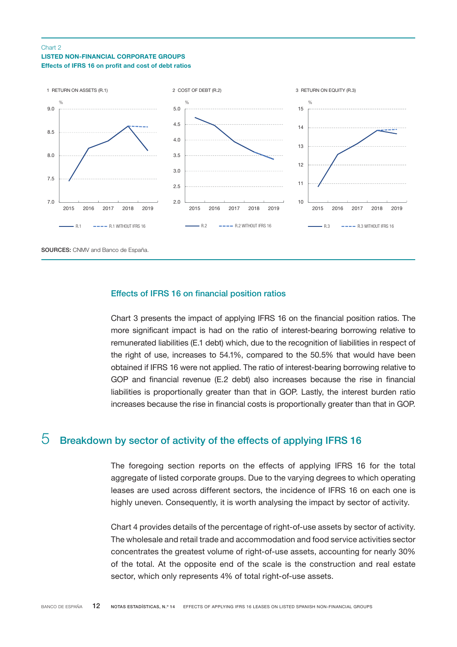## <span id="page-11-0"></span>LISTED NON-FINANCIAL CORPORATE GROUPS Effects of IFRS 16 on profit and cost of debt ratios Chart 2



## Effects of IFRS 16 on financial position ratios

Chart 3 presents the impact of applying IFRS 16 on the financial position ratios. The more significant impact is had on the ratio of interest-bearing borrowing relative to remunerated liabilities (E.1 debt) which, due to the recognition of liabilities in respect of the right of use, increases to 54.1%, compared to the 50.5% that would have been obtained if IFRS 16 were not applied. The ratio of interest-bearing borrowing relative to GOP and financial revenue (E.2 debt) also increases because the rise in financial liabilities is proportionally greater than that in GOP. Lastly, the interest burden ratio increases because the rise in financial costs is proportionally greater than that in GOP.

# $5$  Breakdown by sector of activity of the effects of applying IFRS 16

The foregoing section reports on the effects of applying IFRS 16 for the total aggregate of listed corporate groups. Due to the varying degrees to which operating leases are used across different sectors, the incidence of IFRS 16 on each one is highly uneven. Consequently, it is worth analysing the impact by sector of activity.

Chart 4 provides details of the percentage of right-of-use assets by sector of activity. The wholesale and retail trade and accommodation and food service activities sector concentrates the greatest volume of right-of-use assets, accounting for nearly 30% of the total. At the opposite end of the scale is the construction and real estate sector, which only represents 4% of total right-of-use assets.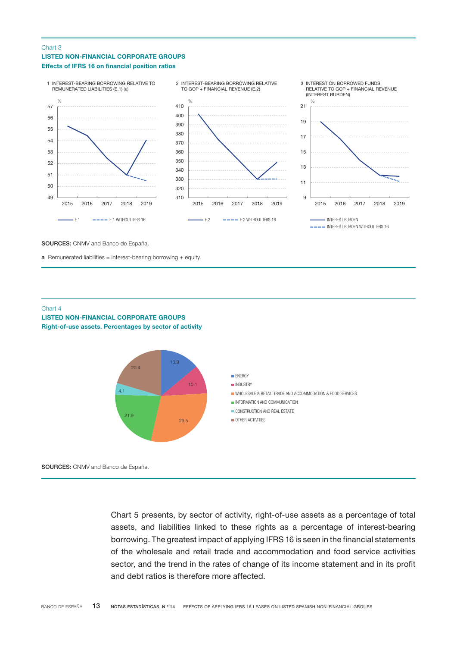### LISTED NON-FINANCIAL CORPORATE GROUPS Effects of IFRS 16 on financial position ratios Chart 3



SOURCES: CNMV and Banco de España.

**a** Remunerated liabilities = interest-bearing borrowing + equity.

#### Chart 4

LISTED NON-FINANCIAL CORPORATE GROUPS Right-of-use assets. Percentages by sector of activity



SOURCES: CNMV and Banco de España.

Chart 5 presents, by sector of activity, right-of-use assets as a percentage of total assets, and liabilities linked to these rights as a percentage of interest-bearing borrowing. The greatest impact of applying IFRS 16 is seen in the financial statements of the wholesale and retail trade and accommodation and food service activities sector, and the trend in the rates of change of its income statement and in its profit and debt ratios is therefore more affected.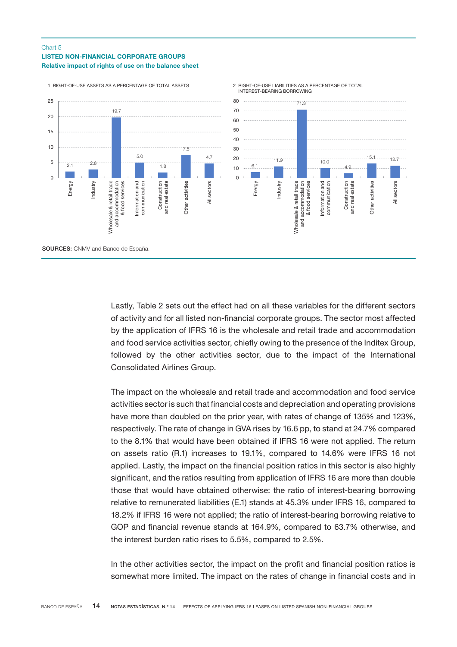## LISTED NON-FINANCIAL CORPORATE GROUPS Relative impact of rights of use on the balance sheet Chart 5



Lastly, Table 2 sets out the effect had on all these variables for the different sectors of activity and for all listed non-financial corporate groups. The sector most affected by the application of IFRS 16 is the wholesale and retail trade and accommodation and food service activities sector, chiefly owing to the presence of the Inditex Group, followed by the other activities sector, due to the impact of the International Consolidated Airlines Group.

The impact on the wholesale and retail trade and accommodation and food service activities sector is such that financial costs and depreciation and operating provisions have more than doubled on the prior year, with rates of change of 135% and 123%, respectively. The rate of change in GVA rises by 16.6 pp, to stand at 24.7% compared to the 8.1% that would have been obtained if IFRS 16 were not applied. The return on assets ratio (R.1) increases to 19.1%, compared to 14.6% were IFRS 16 not applied. Lastly, the impact on the financial position ratios in this sector is also highly significant, and the ratios resulting from application of IFRS 16 are more than double those that would have obtained otherwise: the ratio of interest-bearing borrowing relative to remunerated liabilities (E.1) stands at 45.3% under IFRS 16, compared to 18.2% if IFRS 16 were not applied; the ratio of interest-bearing borrowing relative to GOP and financial revenue stands at 164.9%, compared to 63.7% otherwise, and the interest burden ratio rises to 5.5%, compared to 2.5%.

In the other activities sector, the impact on the profit and financial position ratios is somewhat more limited. The impact on the rates of change in financial costs and in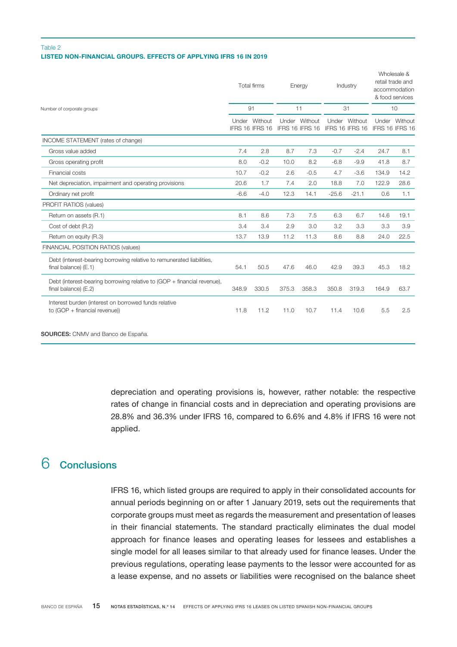## <span id="page-14-0"></span>LISTED NON-FINANCIAL GROUPS. EFFECTS OF APPLYING IFRS 16 IN 2019 Table 2

|                                                                                                 |        | <b>Total firms</b>         |       | Energy                     |         | Industry                   |                          | Wholesale &<br>retail trade and<br>accommodation<br>& food services |  |
|-------------------------------------------------------------------------------------------------|--------|----------------------------|-------|----------------------------|---------|----------------------------|--------------------------|---------------------------------------------------------------------|--|
| Number of corporate groups                                                                      | 91     |                            | 11    |                            | 31      |                            | 10                       |                                                                     |  |
|                                                                                                 |        | Without<br>IFRS 16 IFRS 16 | Under | Without<br>IFRS 16 IFRS 16 | Under   | Without<br>IFRS 16 IFRS 16 | Under<br>IFRS 16 IFRS 16 | Without                                                             |  |
| INCOME STATEMENT (rates of change)                                                              |        |                            |       |                            |         |                            |                          |                                                                     |  |
| Gross value added                                                                               | 7.4    | 2.8                        | 8.7   | 7.3                        | $-0.7$  | $-2.4$                     | 24.7                     | 8.1                                                                 |  |
| Gross operating profit                                                                          | 8.0    | $-0.2$                     | 10.0  | 8.2                        | $-6.8$  | $-9.9$                     | 41.8                     | 8.7                                                                 |  |
| Financial costs                                                                                 | 10.7   | $-0.2$                     | 2.6   | $-0.5$                     | 4.7     | $-3.6$                     | 134.9                    | 14.2                                                                |  |
| Net depreciation, impairment and operating provisions                                           | 20.6   | 1.7                        | 7.4   | 2.0                        | 18.8    | 7.0                        | 122.9                    | 28.6                                                                |  |
| Ordinary net profit                                                                             | $-6.6$ | $-4.0$                     | 12.3  | 14.1                       | $-25.6$ | $-21.1$                    | 0.6                      | 1.1                                                                 |  |
| PROFIT RATIOS (values)                                                                          |        |                            |       |                            |         |                            |                          |                                                                     |  |
| Return on assets (R.1)                                                                          | 8.1    | 8.6                        | 7.3   | 7.5                        | 6.3     | 6.7                        | 14.6                     | 19.1                                                                |  |
| Cost of debt (R.2)                                                                              | 3.4    | 3.4                        | 2.9   | 3.0                        | 3.2     | 3.3                        | 3.3                      | 3.9                                                                 |  |
| Return on equity (R.3)                                                                          | 13.7   | 13.9                       | 11.2  | 11.3                       | 8.6     | 8.8                        | 24.0                     | 22.5                                                                |  |
| FINANCIAL POSITION RATIOS (values)                                                              |        |                            |       |                            |         |                            |                          |                                                                     |  |
| Debt (interest-bearing borrowing relative to remunerated liabilities,<br>final balance) (E.1)   | 54.1   | 50.5                       | 47.6  | 46.0                       | 42.9    | 39.3                       | 45.3                     | 18.2                                                                |  |
| Debt (interest-bearing borrowing relative to (GOP + financial revenue),<br>final balance) (E.2) | 348.9  | 330.5                      | 375.3 | 358.3                      | 350.8   | 319.3                      | 164.9                    | 63.7                                                                |  |
| Interest burden (interest on borrowed funds relative<br>to (GOP + financial revenue))           | 11.8   | 11.2                       | 11.0  | 10.7                       | 11.4    | 10.6                       | 5.5                      | 2.5                                                                 |  |

SOURCES: CNMV and Banco de España.

depreciation and operating provisions is, however, rather notable: the respective rates of change in financial costs and in depreciation and operating provisions are 28.8% and 36.3% under IFRS 16, compared to 6.6% and 4.8% if IFRS 16 were not applied.

# 6 Conclusions

IFRS 16, which listed groups are required to apply in their consolidated accounts for annual periods beginning on or after 1 January 2019, sets out the requirements that corporate groups must meet as regards the measurement and presentation of leases in their financial statements. The standard practically eliminates the dual model approach for finance leases and operating leases for lessees and establishes a single model for all leases similar to that already used for finance leases. Under the previous regulations, operating lease payments to the lessor were accounted for as a lease expense, and no assets or liabilities were recognised on the balance sheet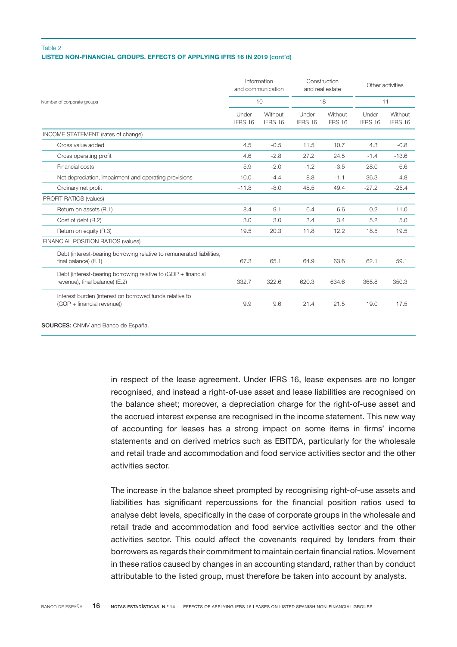## LISTED NON-FINANCIAL GROUPS. EFFECTS OF APPLYING IFRS 16 IN 2019 (cont'd) Table 2

| Under<br>IFRS 16 | 10<br>Without |                  | 18                 |                  |                    |
|------------------|---------------|------------------|--------------------|------------------|--------------------|
|                  |               |                  |                    | 11               |                    |
|                  |               | Under<br>IFRS 16 | Without<br>IFRS 16 | Under<br>IFRS 16 | Without<br>IFRS 16 |
|                  |               |                  |                    |                  |                    |
| 4.5              | $-0.5$        | 11.5             | 10.7               | 4.3              | $-0.8$             |
| 4.6              | $-2.8$        | 27.2             | 24.5               | $-1.4$           | $-13.6$            |
| 5.9              | $-2.0$        | $-1.2$           | $-3.5$             | 28.0             | 6.6                |
| 10.0             | $-4.4$        | 8.8              | $-1.1$             | 36.3             | 4.8                |
| $-11.8$          | $-8.0$        | 48.5             | 49.4               | $-27.2$          | $-25.4$            |
|                  |               |                  |                    |                  |                    |
| 8.4              | 9.1           | 6.4              | 6.6                | 10.2             | 11.0               |
| 3.0              | 3.0           | 3.4              | 3.4                | 5.2              | 5.0                |
| 19.5             | 20.3          | 11.8             | 12.2               | 18.5             | 19.5               |
|                  |               |                  |                    |                  |                    |
| 67.3             | 65.1          | 64.9             | 63.6               | 62.1             | 59.1               |
| 332.7            | 322.6         | 620.3            | 634.6              | 365.8            | 350.3              |
| 9.9              | 9.6           | 21.4             | 21.5               | 19.0             | 17.5               |
|                  |               | IFRS 16          |                    |                  |                    |

SOURCES: CNMV and Banco de España.

in respect of the lease agreement. Under IFRS 16, lease expenses are no longer recognised, and instead a right-of-use asset and lease liabilities are recognised on the balance sheet; moreover, a depreciation charge for the right-of-use asset and the accrued interest expense are recognised in the income statement. This new way of accounting for leases has a strong impact on some items in firms' income statements and on derived metrics such as EBITDA, particularly for the wholesale and retail trade and accommodation and food service activities sector and the other activities sector.

The increase in the balance sheet prompted by recognising right-of-use assets and liabilities has significant repercussions for the financial position ratios used to analyse debt levels, specifically in the case of corporate groups in the wholesale and retail trade and accommodation and food service activities sector and the other activities sector. This could affect the covenants required by lenders from their borrowers as regards their commitment to maintain certain financial ratios. Movement in these ratios caused by changes in an accounting standard, rather than by conduct attributable to the listed group, must therefore be taken into account by analysts.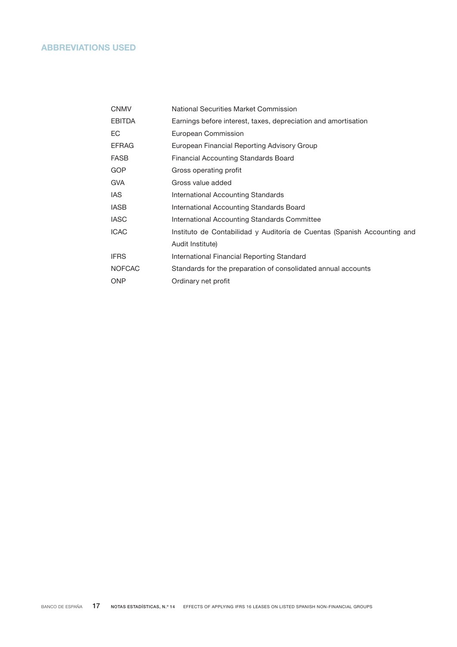# <span id="page-16-0"></span>ABBREVIATIONS USED

| CNMV          | National Securities Market Commission                                    |
|---------------|--------------------------------------------------------------------------|
| <b>EBITDA</b> | Earnings before interest, taxes, depreciation and amortisation           |
| EС            | European Commission                                                      |
| EFRAG         | European Financial Reporting Advisory Group                              |
| FASB          | Financial Accounting Standards Board                                     |
| GOP           | Gross operating profit                                                   |
| gva           | Gross value added                                                        |
| IAS           | International Accounting Standards                                       |
| IASB          | International Accounting Standards Board                                 |
| IASC          | International Accounting Standards Committee                             |
| ICAC          | Instituto de Contabilidad y Auditoría de Cuentas (Spanish Accounting and |
|               | Audit Institute)                                                         |
| <b>IFRS</b>   | International Financial Reporting Standard                               |
| <b>NOFCAC</b> | Standards for the preparation of consolidated annual accounts            |
| ONP           | Ordinary net profit                                                      |